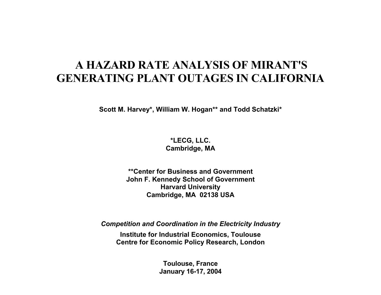# **A HAZARD RATE ANALYSIS OF MIRANT'S GENERATING PLANT OUTAGES IN CALIFORNIA**

**Scott M. Harvey\*, William W. Hogan\*\* and Todd Schatzki\*** 

**\*LECG, LLC. Cambridge, MA** 

**\*\*Center for Business and Government John F. Kennedy School of Government Harvard University Cambridge, MA 02138 USA**

*Competition and Coordination in the Electricity Industry* 

**Institute for Industrial Economics, Toulouse Centre for Economic Policy Research, London** 

> **Toulouse, France January 16-17, 2004**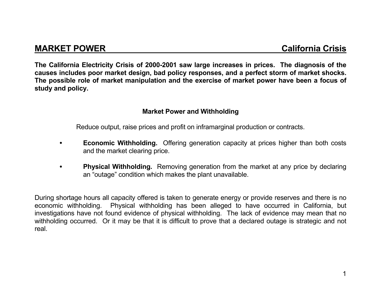# **MARKET POWER California Crisis**

**The California Electricity Crisis of 2000-2001 saw large increases in prices. The diagnosis of the causes includes poor market design, bad policy responses, and a perfect storm of market shocks. The possible role of market manipulation and the exercise of market power have been a focus of study and policy.** 

#### **Market Power and Withholding**

Reduce output, raise prices and profit on inframarginal production or contracts.

- **Economic Withholding.** Offering generation capacity at prices higher than both costs and the market clearing price.
- **Physical Withholding.** Removing generation from the market at any price by declaring an "outage" condition which makes the plant unavailable.

During shortage hours all capacity offered is taken to generate energy or provide reserves and there is no economic withholding. Physical withholding has been alleged to have occurred in California, but investigations have not found evidence of physical withholding. The lack of evidence may mean that no withholding occurred. Or it may be that it is difficult to prove that a declared outage is strategic and not real.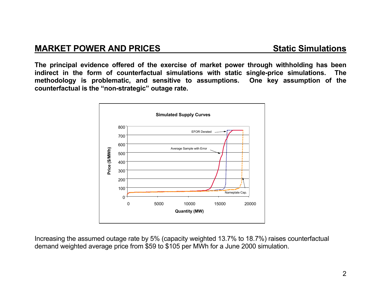## **MARKET POWER AND PRICES**

**The principal evidence offered of the exercise of market power through withholding has been indirect in the form of counterfactual simulations with static single-price simulations. The methodology is problematic, and sensitive to assumptions. One key assumption of the counterfactual is the "non-strategic" outage rate.** 



Increasing the assumed outage rate by 5% (capacity weighted 13.7% to 18.7%) raises counterfactual demand weighted average price from \$59 to \$105 per MWh for a June 2000 simulation.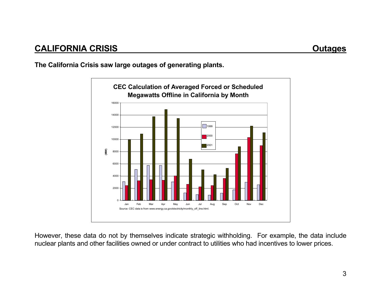**The California Crisis saw large outages of generating plants.** 



However, these data do not by themselves indicate strategic withholding. For example, the data include nuclear plants and other facilities owned or under contract to utilities who had incentives to lower prices.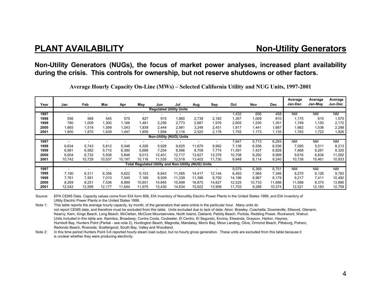#### **Non-Utility Generators (NUGs), the focus of market power analyses, increased plant availability during the crisis. This controls for ownership, but not reserve shutdowns or other factors.**

**Average Hourly Capacity On-Line (MWs) – Selected California Utility and NUG Units, 1997-2001** 

| Year                                                | Jan    | Feb    | Mar            | Apr    | May    | Jun    | Jul                            | Aug    | Sep    | Oct    | Nov    | <b>Dec</b> | Average<br>Jan-Dec | Average<br>Jan-Mav | Average<br>Jun-Dec |
|-----------------------------------------------------|--------|--------|----------------|--------|--------|--------|--------------------------------|--------|--------|--------|--------|------------|--------------------|--------------------|--------------------|
|                                                     |        |        |                |        |        |        | <b>Regulated Utility Units</b> |        |        |        |        |            |                    |                    |                    |
| 1997                                                | ٠      | ۰.     | $\overline{a}$ |        |        |        |                                |        |        | 1,432  | 656    | 458        | <b>NM</b>          | <b>NM</b>          | <b>NM</b>          |
| 1998                                                | 556    | 568    | 545            | 575    | 827    | 915    | 1,960                          | 2,738  | 2,182  | 1,357  | 1,009  | 810        | 1,175              | 615                | 1,570              |
| 1999                                                | 780    | 1,009  | 1,300          | 1,166  | 1,481  | 2,256  | 2,773                          | 2,687  | 1,976  | 2,605  | 1,530  | 1,351      | 1,749              | 1,150              | 2,172              |
| 2000                                                | 1,665  | 1,518  | 1,599          | 1,043  | 1,839  | 2,444  | 2,981                          | 3,248  | 2,451  | 1,817  | .441   | 1,687      | 1,982              | 1,536              | 2,298              |
| 2001                                                | 1,800  | 1,870  | 1,639          | 1,447  | 1,859  | 1,894  | 2,116                          | 2,520  | 2,178  | 1,755  | 1,173  | 1,135      | 1,783              | 1,722              | 1,826              |
| <b>Non-Utility (NUG) Units</b>                      |        |        |                |        |        |        |                                |        |        |        |        |            |                    |                    |                    |
| 1997                                                |        |        |                |        |        |        |                                |        |        | 7,647  | 5,713  | 6,293      | <b>NM</b>          | <b>NM</b>          | <b>NM</b>          |
| 1998                                                | 6,634  | 5,743  | 5,812          | 5,046  | 4,326  | 5,928  | 9,625                          | 11,679 | 9,962  | 7,136  | 6,556  | 6,536      | 7,095              | 5,511              | 8,213              |
| 1999                                                | 6,981  | 6,582  | 5,710          | 6,380  | 5,688  | 7,254  | 8,566                          | 8,709  | 7,774  | 11,591 | 7,437  | 6,828      | 7,468              | 6,261              | 8,320              |
| 2000                                                | 6,604  | 6,732  | 5,938          | 5,846  | 9,013  | 12,401 | 12,717                         | 13,627 | 12,376 | 10,708 | 9,292  | 9,999      | 9,616              | 6,834              | 11,592             |
| 2001                                                | 10.742 | 10,729 | 10,537         | 10,197 | 10.116 | 11,535 | 12,518                         | 13.402 | 11,730 | 9,948  | 8,114  | 9,240      | 10,738             | 10,461             | 10,933             |
| Total Regulated Utility and Non-Utility (NUG) Units |        |        |                |        |        |        |                                |        |        |        |        |            |                    |                    |                    |
| 1997                                                |        |        |                |        |        |        |                                |        |        | 9,079  | 6,369  | 6,751      | <b>NM</b>          | <b>NM</b>          | <b>NM</b>          |
| 1998                                                | 7,190  | 6,311  | 6,356          | 5,622  | 5,153  | 6,843  | 11,585                         | 14,417 | 12,144 | 8,493  | 7,565  | 7,346      | 8,270              | 6,126              | 9,783              |
| 1999                                                | 7,761  | 7,591  | 7,010          | 7,545  | 7,169  | 9,509  | 11,339                         | 11,396 | 9,750  | 14,196 | 8,967  | 8,179      | 9,217              | 7,411              | 10,492             |
| 2000                                                | 8,269  | 8,251  | 7,536          | 6,889  | 10,851 | 14,845 | 15,698                         | 16,875 | 14,827 | 12,525 | 10,733 | 11,686     | 11,598             | 8,370              | 13,890             |
| 2001                                                | 12,542 | 12,599 | 12,177         | 11,644 | 11,975 | 13,430 | 14,634                         | 15,922 | 13,908 | 11,703 | 9,288  | 10,374     | 12,521             | 12,183             | 12,759             |

Source: EPA CEMS Data. Capacity values come from EIA form 806, EIA Inventory of Nonutility Electric Power Plants in the United States 1999, and EIA Inventory of Utility Electric Power Plants in the United States 1999.

Note 1: This table reports the average hourly capacity, by month, of the generators that were online in the particular hour. Many units do not report CEMS data, and therefore must be excluded from this table. Units excluded due to lack of data: Alnor, Brawley, Coachella, Downieville, Ellwood, Glenarm, Kearny, Kern, Kings Beach, Long Beach, McClellan, McClure Mountainview, North Island, Oakland, Pebbly Beach, Portola, Redding Power, Rockwood, Walnut. Units included in this table are: Alamitos, Broadway, Contra Costa, Coolwater, El Centro, El Segundo, Encina, Etiwanda, Grayson, Harbor, Haynes, Humbolt Bay, Hunters Point (Partial - see note 2), Huntington Beach, Magnolia, Mandalay, Morro Bay, Moss Landing, Olive, Ormond Beach, Pittsburg, Potrero, Redondo Beach, Riverside, Scattergood, South Bay, Valley and Woodland.

Note 2: In this time period Hunters Point 3-6 reported hourly steam load output, but no hourly gross generation. These units are excluded from this table because it is unclear whether they were producing electricity.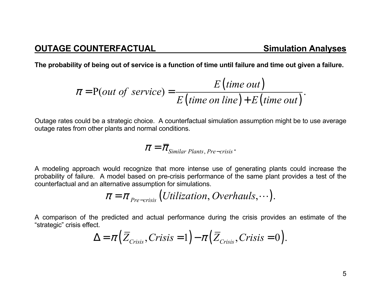**The probability of being out of service is a function of time until failure and time out given a failure.** 

$$
\pi = P(out \text{ of service}) = \frac{E(time \text{ out})}{E(time \text{ on line}) + E(time \text{ out})}.
$$

Outage rates could be a strategic choice. A counterfactual simulation assumption might be to use average outage rates from other plants and normal conditions.

$$
\pi = \overline{\pi}_{Similar\,Plants, Pre-crisis}.
$$

A modeling approach would recognize that more intense use of generating plants could increase the probability of failure. A model based on pre-crisis performance of the same plant provides a test of the counterfactual and an alternative assumption for simulations.

$$
\pi = \pi_{\text{Pre-crisis}} (Utilization, Overhaus, \cdots).
$$

A comparison of the predicted and actual performance during the crisis provides an estimate of the "strategic" crisis effect.

$$
\Delta = \pi \big( \overline{Z}_{\text{Crisis}}, \text{Crisis} = 1 \big) - \pi \big( \overline{Z}_{\text{Crisis}}, \text{Crisis} = 0 \big).
$$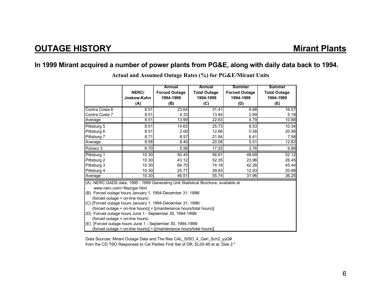#### **In 1999 Mirant acquired a number of power plants from PG&E, along with daily data back to 1994.**

|                                                                                                                    | NERC/                                                      | Annual<br><b>Forced Outage</b> | Annual<br><b>Total Outage</b> | <b>Summer</b><br><b>Forced Outage</b> | <b>Summer</b><br><b>Total Outage</b> |  |  |  |  |
|--------------------------------------------------------------------------------------------------------------------|------------------------------------------------------------|--------------------------------|-------------------------------|---------------------------------------|--------------------------------------|--|--|--|--|
|                                                                                                                    | Joskow-Kahn                                                | 1994-1999                      | 1994-1999                     | 1994-1999                             | 1994-1999                            |  |  |  |  |
|                                                                                                                    | (A)                                                        | (B)                            | (C)                           | (D)                                   | (E)                                  |  |  |  |  |
| Contra Costa 6                                                                                                     | 8.51                                                       | 23.64                          | 31.41                         | 6.88                                  | 16.57                                |  |  |  |  |
| Contra Costa 7                                                                                                     | 8.51                                                       | 4.33                           | 13.84                         | 2.69                                  | 5.18                                 |  |  |  |  |
| Average                                                                                                            | 8.51                                                       | 13.99                          | 22.63                         | 4.79                                  | 10.88                                |  |  |  |  |
| Pittsburg 5                                                                                                        | 8.51                                                       | 14.63                          | 25.73                         | 9.53                                  | 10.34                                |  |  |  |  |
| Pittsburg 6                                                                                                        | 8.51                                                       | 2.00                           | 12.66                         | 0.58                                  | 20.56                                |  |  |  |  |
| Pittsburg 7                                                                                                        | 8.71                                                       | 8.57                           | 21.84                         | 6.41                                  | 7.58                                 |  |  |  |  |
| Average                                                                                                            | 8.58                                                       | 8.40                           | 20.08                         | 5.51                                  | 12.83                                |  |  |  |  |
| Potrero 3                                                                                                          | 6.70                                                       | 5.58                           | 17.25                         | 3.76                                  | 9.89                                 |  |  |  |  |
| Pittsburg 1                                                                                                        | 10.30                                                      | 50.45                          | 56.61                         | 48.69                                 | 52.12                                |  |  |  |  |
| Pittsburg 2                                                                                                        | 10.30                                                      | 43.12                          | 52.35                         | 23.96                                 | 26.45                                |  |  |  |  |
| Pittsburg 3                                                                                                        | 10.30                                                      | 66.70                          | 74.18                         | 42.26                                 | 45.44                                |  |  |  |  |
| Pittsburg 4                                                                                                        | 10.30                                                      | 25.77                          | 39.83                         | 12.93                                 | 20.99                                |  |  |  |  |
| Average                                                                                                            | 10.30                                                      | 46.51                          | 55.74                         | 31.96                                 | 36.25                                |  |  |  |  |
| (A) NERC GADS data, 1995 - 1999 Generating Unit Statistical Brochure, available at<br>www.nerc.com/~filez/gar.html |                                                            |                                |                               |                                       |                                      |  |  |  |  |
| (B) Forced outage hours January 1, 1994-December 31, 1998/                                                         |                                                            |                                |                               |                                       |                                      |  |  |  |  |
| (forced outage + on-line hours)                                                                                    |                                                            |                                |                               |                                       |                                      |  |  |  |  |
| (C) [Forced outage hours January 1, 1994-December 31, 1998/                                                        |                                                            |                                |                               |                                       |                                      |  |  |  |  |
| (forced outage + on-line hours)] + [(maintenance hours/total hours)]                                               |                                                            |                                |                               |                                       |                                      |  |  |  |  |
| (D) Forced outage hours June 1 - September 30, 1994-1998/<br>(forced outage + on-line hours)                       |                                                            |                                |                               |                                       |                                      |  |  |  |  |
|                                                                                                                    | (E) [Forced outage hours June 1 - September 30, 1994-1998/ |                                |                               |                                       |                                      |  |  |  |  |
| (forced outage + on-line hours)] + [(maintenance hours/total hours)]                                               |                                                            |                                |                               |                                       |                                      |  |  |  |  |
|                                                                                                                    |                                                            |                                |                               |                                       |                                      |  |  |  |  |

**Actual and Assumed Outage Rates (%) for PG&E/Mirant Units** 

Data Sources: Mirant Outage Data and The files CAL\_SISO\_4\_Gen\_Sch2\_yyQ# from the CD "ISO Responses to Cal Parties First Set of DR, EL00-95 et al, Disk 2."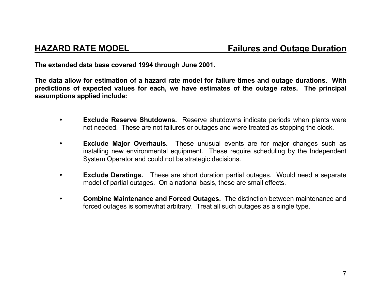**The extended data base covered 1994 through June 2001.** 

**The data allow for estimation of a hazard rate model for failure times and outage durations. With predictions of expected values for each, we have estimates of the outage rates. The principal assumptions applied include:** 

- **Exclude Reserve Shutdowns.** Reserve shutdowns indicate periods when plants were not needed. These are not failures or outages and were treated as stopping the clock.
- **Exclude Major Overhauls.** These unusual events are for major changes such as installing new environmental equipment. These require scheduling by the Independent System Operator and could not be strategic decisions.
- **Exclude Deratings.** These are short duration partial outages. Would need a separate model of partial outages. On a national basis, these are small effects.
- • **Combine Maintenance and Forced Outages.** The distinction between maintenance and forced outages is somewhat arbitrary. Treat all such outages as a single type.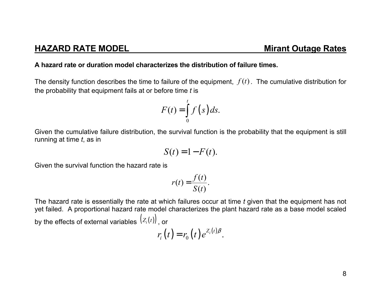### **HAZARD RATE MODEL**

#### **A hazard rate or duration model characterizes the distribution of failure times.**

The density function describes the time to failure of the equipment,  $f(t)$  . The cumulative distribution for the probability that equipment fails at or before time *t* is

$$
F(t) = \int_{0}^{t} f(s) ds.
$$

Given the cumulative failure distribution, the survival function is the probability that the equipment is still running at time *t*, as in

$$
S(t) = 1 - F(t).
$$

Given the survival function the hazard rate is

$$
r(t) = \frac{f(t)}{S(t)}.
$$

The hazard rate is essentially the rate at which failures occur at time *t* given that the equipment has not yet failed. A proportional hazard rate model characterizes the plant hazard rate as a base model scaled by the effects of external variables  $\bigl(Z_i(t)\bigr)$  , or

$$
r_i(t) = r_0(t) e^{Z_i(t)\beta}.
$$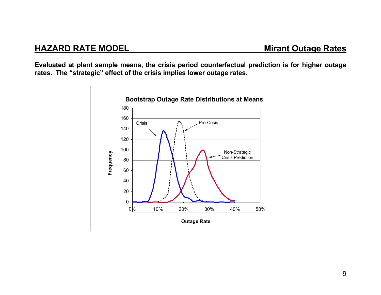**Evaluated at plant sample means, the crisis period counterfactual prediction is for higher outage rates. The "strategic" effect of the crisis implies lower outage rates.** 

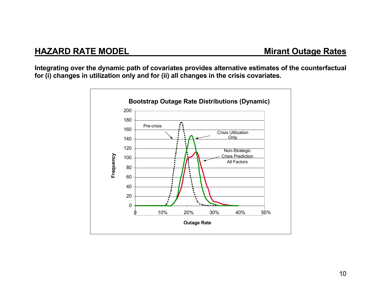# **HAZARD RATE MODEL MIRE MIRE RATE MIRE RATE MODEL**

**Integrating over the dynamic path of covariates provides alternative estimates of the counterfactual for (i) changes in utilization only and for (ii) all changes in the crisis covariates.** 

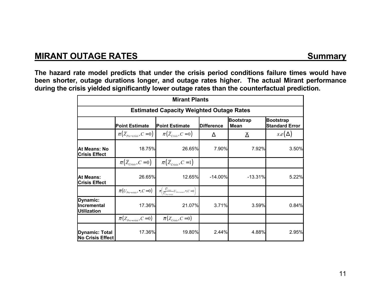# **MIRANT OUTAGE RATES** Summary

**The hazard rate model predicts that under the crisis period conditions failure times would have been shorter, outage durations longer, and outage rates higher. The actual Mirant performance during the crisis yielded significantly lower outage rates than the counterfactual prediction.** 

| <b>Mirant Plants</b>                             |                                                |                                                                                                                 |                   |                                 |                                           |  |  |  |  |
|--------------------------------------------------|------------------------------------------------|-----------------------------------------------------------------------------------------------------------------|-------------------|---------------------------------|-------------------------------------------|--|--|--|--|
| <b>Estimated Capacity Weighted Outage Rates</b>  |                                                |                                                                                                                 |                   |                                 |                                           |  |  |  |  |
|                                                  | <b>Point Estimate</b>                          | <b>Point Estimate</b>                                                                                           | <b>Difference</b> | <b>Bootstrap</b><br><b>Mean</b> | <b>Bootstrap</b><br><b>Standard Error</b> |  |  |  |  |
|                                                  | $\pi(\bar{Z}_{Pre-crisis}, C=0)$               | $\pi(\bar{Z}_{\text{Crisis}}, C=0)$                                                                             | Δ                 | $\overline{\Delta}$             | $s.e(\Delta)$                             |  |  |  |  |
| At Means: No<br><b>Crisis Effect</b>             | 18.75%                                         | 26.65%                                                                                                          | 7.90%             | 7.92%                           | 3.50%                                     |  |  |  |  |
|                                                  | $\pi(\bar{Z}_{\text{Crisis}}, C=0)$            | $\pi(\bar{Z}_{\text{Crisis}}, C=1)$                                                                             |                   |                                 |                                           |  |  |  |  |
| <b>At Means:</b><br><b>Crisis Effect</b>         | 26.65%                                         | 12.65%                                                                                                          | $-14.00\%$        | $-13.31%$                       | 5.22%                                     |  |  |  |  |
|                                                  | $\overline{\pi}(U_{Pre-crisis}, \bullet, C=0)$ | $\overline{\pi}\left(\frac{U_{\text{crisis}}}{\overline{U}_{\text{r}}}U_{\text{Pre-crisis}},\bullet,C=0\right)$ |                   |                                 |                                           |  |  |  |  |
| Dynamic:<br>Incremental<br><b>Utilization</b>    | 17.36%                                         | 21.07%                                                                                                          | 3.71%             | 3.59%                           | 0.84%                                     |  |  |  |  |
|                                                  | $\overline{\pi}(Z_{Pre-crisis}, C=0)$          | $\overline{\pi}(Z_{\text{Crisis}}, C=0)$                                                                        |                   |                                 |                                           |  |  |  |  |
| <b>Dynamic: Total</b><br><b>No Crisis Effect</b> | 17.36%                                         | 19.80%                                                                                                          | 2.44%             | 4.88%                           | 2.95%                                     |  |  |  |  |